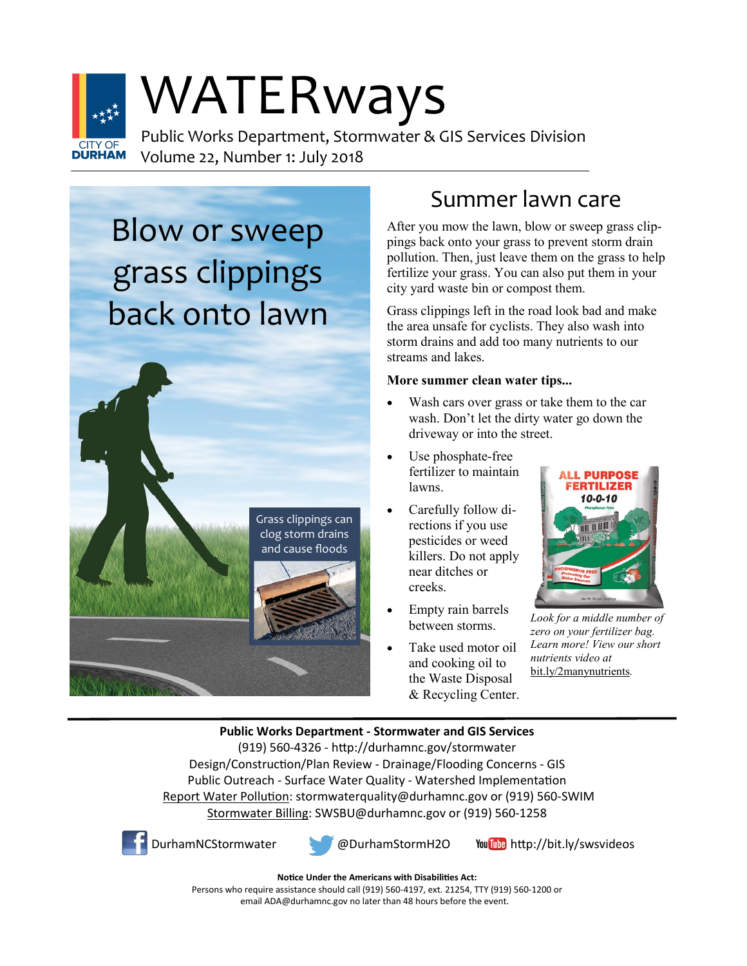

# WATERways

Public Works Department, Stormwater & GIS Services Division Volume 22, Number 1: July 2018

# Blow or sweep grass clippings back onto lawn



### Summer lawn care

After you mow the lawn, blow or sweep grass clippings back onto your grass to prevent storm drain pollution. Then, just leave them on the grass to help fertilize your grass. You can also put them in your city yard waste bin or compost them.

Grass clippings left in the road look bad and make the area unsafe for cyclists. They also wash into storm drains and add too many nutrients to our streams and lakes.

#### **More summer clean water tips...**

- Wash cars over grass or take them to the car wash. Don't let the dirty water go down the driveway or into the street.
- Use phosphate-free fertilizer to maintain lawns.
- Carefully follow directions if you use pesticides or weed killers. Do not apply near ditches or creeks.
- Empty rain barrels between storms.
- Take used motor oil and cooking oil to the Waste Disposal & Recycling Center.



*Look for a middle number of zero on your fertilizer bag. Learn more! View our short nutrients video at*  bit.ly/2manynutrients*.*

#### **Public Works Department - Stormwater and GIS Services** (919) 560-4326 - http://durhamnc.gov/stormwater Design/Construction/Plan Review - Drainage/Flooding Concerns - GIS Public Outreach - Surface Water Quality - Watershed Implementation Report Water Pollution: stormwaterquality@durhamnc.gov or (919) 560-SWIM Stormwater Billing: SWSBU@durhamnc.gov or (919) 560-1258



DurhamNCStormwater @DurhamStormH2O YouTube http://bit.ly/swsvideos

**Notice Under the Americans with Disabilities Act:** 

Persons who require assistance should call (919) 560-4197, ext. 21254, TTY (919) 560-1200 or email [ADA@durhamnc.gov](mailto:ADA@durhamnc.gov) no later than 48 hours before the event.